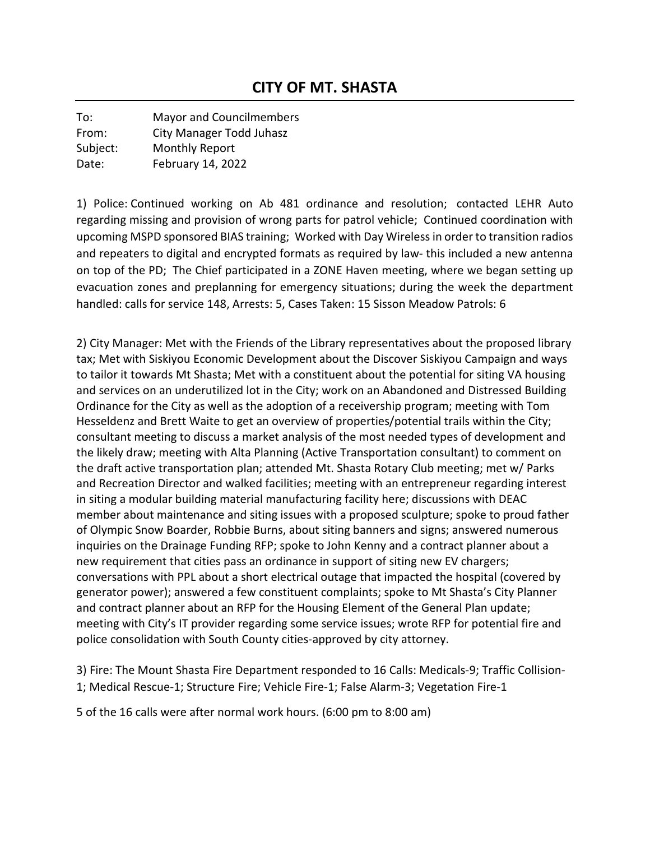To: Mayor and Councilmembers From: City Manager Todd Juhasz Subject: Monthly Report Date: February 14, 2022

1) Police: Continued working on Ab 481 ordinance and resolution; contacted LEHR Auto regarding missing and provision of wrong parts for patrol vehicle; Continued coordination with upcoming MSPD sponsored BIAS training; Worked with Day Wireless in order to transition radios and repeaters to digital and encrypted formats as required by law- this included a new antenna on top of the PD; The Chief participated in a ZONE Haven meeting, where we began setting up evacuation zones and preplanning for emergency situations; during the week the department handled: calls for service 148, Arrests: 5, Cases Taken: 15 Sisson Meadow Patrols: 6

2) City Manager: Met with the Friends of the Library representatives about the proposed library tax; Met with Siskiyou Economic Development about the Discover Siskiyou Campaign and ways to tailor it towards Mt Shasta; Met with a constituent about the potential for siting VA housing and services on an underutilized lot in the City; work on an Abandoned and Distressed Building Ordinance for the City as well as the adoption of a receivership program; meeting with Tom Hesseldenz and Brett Waite to get an overview of properties/potential trails within the City; consultant meeting to discuss a market analysis of the most needed types of development and the likely draw; meeting with Alta Planning (Active Transportation consultant) to comment on the draft active transportation plan; attended Mt. Shasta Rotary Club meeting; met w/ Parks and Recreation Director and walked facilities; meeting with an entrepreneur regarding interest in siting a modular building material manufacturing facility here; discussions with DEAC member about maintenance and siting issues with a proposed sculpture; spoke to proud father of Olympic Snow Boarder, Robbie Burns, about siting banners and signs; answered numerous inquiries on the Drainage Funding RFP; spoke to John Kenny and a contract planner about a new requirement that cities pass an ordinance in support of siting new EV chargers; conversations with PPL about a short electrical outage that impacted the hospital (covered by generator power); answered a few constituent complaints; spoke to Mt Shasta's City Planner and contract planner about an RFP for the Housing Element of the General Plan update; meeting with City's IT provider regarding some service issues; wrote RFP for potential fire and police consolidation with South County cities-approved by city attorney.

3) Fire: The Mount Shasta Fire Department responded to 16 Calls: Medicals-9; Traffic Collision-1; Medical Rescue-1; Structure Fire; Vehicle Fire-1; False Alarm-3; Vegetation Fire-1

5 of the 16 calls were after normal work hours. (6:00 pm to 8:00 am)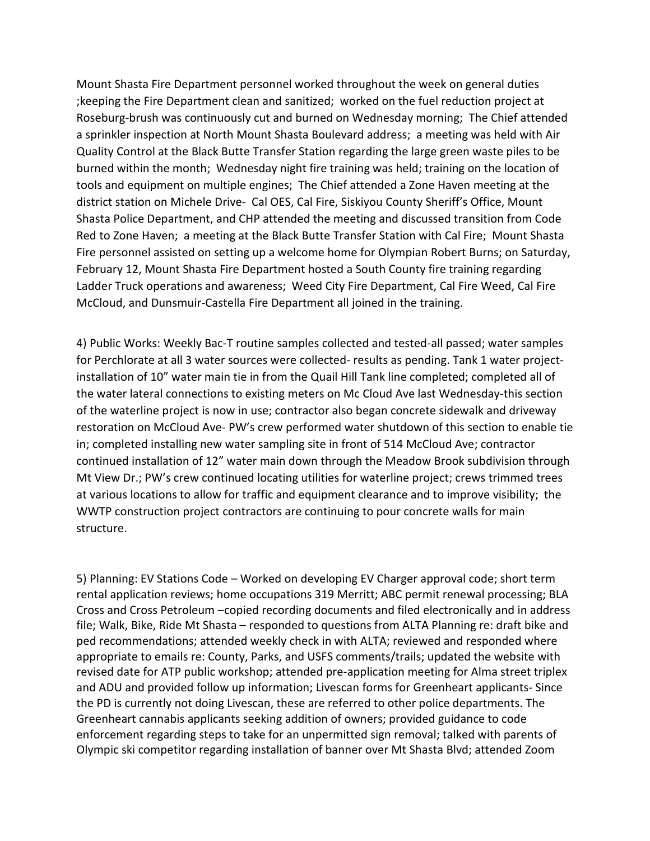Mount Shasta Fire Department personnel worked throughout the week on general duties ;keeping the Fire Department clean and sanitized; worked on the fuel reduction project at Roseburg-brush was continuously cut and burned on Wednesday morning; The Chief attended a sprinkler inspection at North Mount Shasta Boulevard address; a meeting was held with Air Quality Control at the Black Butte Transfer Station regarding the large green waste piles to be burned within the month; Wednesday night fire training was held; training on the location of tools and equipment on multiple engines; The Chief attended a Zone Haven meeting at the district station on Michele Drive- Cal OES, Cal Fire, Siskiyou County Sheriff's Office, Mount Shasta Police Department, and CHP attended the meeting and discussed transition from Code Red to Zone Haven; a meeting at the Black Butte Transfer Station with Cal Fire; Mount Shasta Fire personnel assisted on setting up a welcome home for Olympian Robert Burns; on Saturday, February 12, Mount Shasta Fire Department hosted a South County fire training regarding Ladder Truck operations and awareness; Weed City Fire Department, Cal Fire Weed, Cal Fire McCloud, and Dunsmuir-Castella Fire Department all joined in the training.

4) Public Works: Weekly Bac-T routine samples collected and tested-all passed; water samples for Perchlorate at all 3 water sources were collected- results as pending. Tank 1 water projectinstallation of 10" water main tie in from the Quail Hill Tank line completed; completed all of the water lateral connections to existing meters on Mc Cloud Ave last Wednesday-this section of the waterline project is now in use; contractor also began concrete sidewalk and driveway restoration on McCloud Ave- PW's crew performed water shutdown of this section to enable tie in; completed installing new water sampling site in front of 514 McCloud Ave; contractor continued installation of 12" water main down through the Meadow Brook subdivision through Mt View Dr.; PW's crew continued locating utilities for waterline project; crews trimmed trees at various locations to allow for traffic and equipment clearance and to improve visibility; the WWTP construction project contractors are continuing to pour concrete walls for main structure.

5) Planning: EV Stations Code – Worked on developing EV Charger approval code; short term rental application reviews; home occupations 319 Merritt; ABC permit renewal processing; BLA Cross and Cross Petroleum –copied recording documents and filed electronically and in address file; Walk, Bike, Ride Mt Shasta – responded to questions from ALTA Planning re: draft bike and ped recommendations; attended weekly check in with ALTA; reviewed and responded where appropriate to emails re: County, Parks, and USFS comments/trails; updated the website with revised date for ATP public workshop; attended pre-application meeting for Alma street triplex and ADU and provided follow up information; Livescan forms for Greenheart applicants- Since the PD is currently not doing Livescan, these are referred to other police departments. The Greenheart cannabis applicants seeking addition of owners; provided guidance to code enforcement regarding steps to take for an unpermitted sign removal; talked with parents of Olympic ski competitor regarding installation of banner over Mt Shasta Blvd; attended Zoom